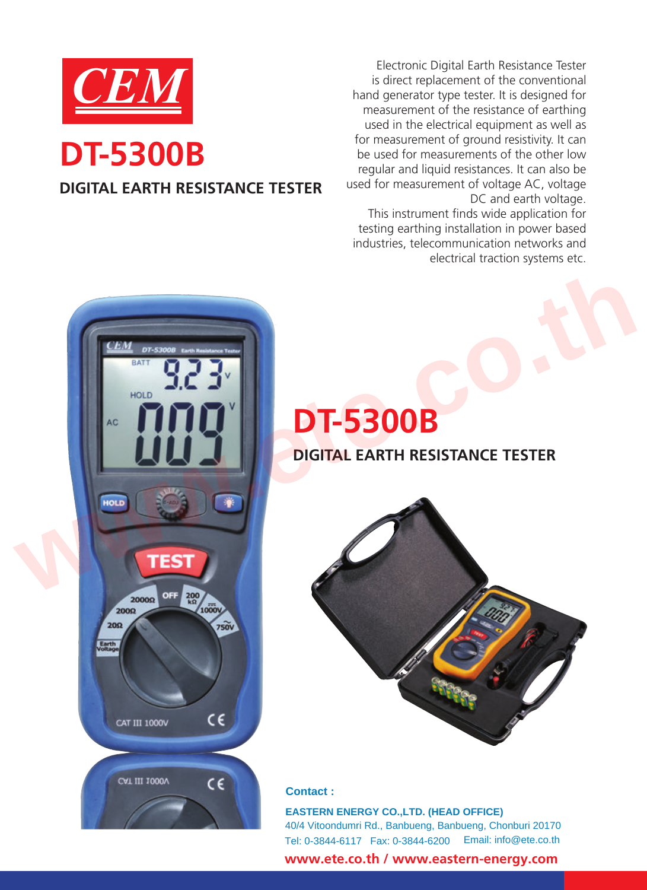

# **DIGITAL EARTH RESISTANCE TESTER**

Electronic Digital Earth Resistance Tester<br>
is direct replacement of the conventional<br>
hand generator type tester. It is designed for<br>
measurement of the resistance of earthing is direct replacement of the conventional hand generator type tester. It is designed for measurement of the resistance of earthing used in the electrical equipment as well as for measurement of ground resistivity. It can be used for measurements of the other low regular and liquid resistances. It can also be used for measurement of voltage AC, voltage DC and earth voltage. This instrument finds wide application for

testing earthing installation in power based industries, telecommunication networks and electrical traction systems etc.



# **DT-5300B**



# **Contact :**

 Tel: 0-3844-6117 Fax: 0-3844-6200 Email: info@ete.co.th **EASTERN ENERGY CO.,LTD. (HEAD OFFICE)** 40/4 Vitoondumri Rd., Banbueng, Banbueng, Chonburi 20170

 **www.ete.co.th / www.eastern-energy.com**